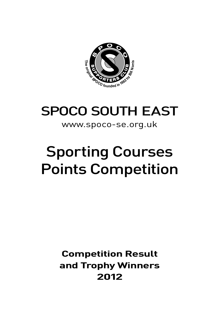

# SPOCO SOUTH EAST

### www.spoco-se.org.uk

# Sporting Courses Points Competition

### **Competition Result and Trophy Winners 2012**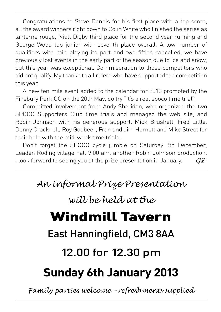Congratulations to Steve Dennis for his first place with a top score, all the award winners right down to Colin White who finished the series as lanterne rouge, Niall Digby third place for the second year running and George Wood top junior with seventh place overall. A low number of qualifiers with rain playing its part and two fifties cancelled, we have previously lost events in the early part of the season due to ice and snow, but this year was exceptional. Commiseration to those competitors who did not qualify. My thanks to all riders who have supported the competition this year.

A new ten mile event added to the calendar for 2013 promoted by the Finsbury Park CC on the 20th May, do try "it's a real spoco time trial".

Committed involvement from Andy Sheridan, who organized the two SPOCO Supporters Club time trials and managed the web site, and Robin Johnson with his generous support, Mick Brushett, Fred Little, Denny Cracknell, Roy Godbeer, Fran and Jim Hornett and Mike Street for their help with the mid-week time trials.

Don't forget the SPOCO cycle jumble on Saturday 8th December, Leaden Roding village hall 9.00 am, another Robin Johnson production. I look forward to seeing you at the prize presentation in January.  $G\!P$ 

### *An informal Prize Presentation*

### *will be held at the*

# Windmill Tavern

## East Hanningfield, CM3 8AA

# 12.00 for 12.30 pm

# **Sunday 6th January 2013**

*Family parties welcome – refreshments supplied*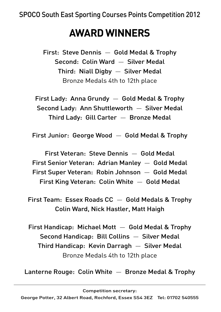# **AWARD WINNERS**

First: Steve Dennis — Gold Medal & Trophy Second: Colin Ward — Silver Medal Third: Niall Digby — Silver Medal Bronze Medals 4th to 12th place

First Lady: Anna Grundy — Gold Medal & Trophy Second Lady: Ann Shuttleworth — Silver Medal Third Lady: Gill Carter — Bronze Medal

First Junior: George Wood — Gold Medal & Trophy

First Veteran: Steve Dennis — Gold Medal First Senior Veteran: Adrian Manley — Gold Medal First Super Veteran: Robin Johnson — Gold Medal First King Veteran: Colin White — Gold Medal

First Team: Essex Roads  $CC -$  Gold Medals & Trophy Colin Ward, Nick Hastler, Matt Haigh

First Handicap: Michael Mott — Gold Medal & Trophy Second Handicap: Bill Collins — Silver Medal Third Handicap: Kevin Darragh — Silver Medal Bronze Medals 4th to 12th place

Lanterne Rouge: Colin White — Bronze Medal & Trophy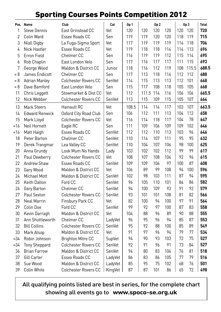### Sporting Courses Points Competition 2012

|                | Pos. Name             | Club                            | Cat     | Gp 1  |           | Gp <sub>2</sub> |     |     | Gp <sub>3</sub> | <b>Total</b> |
|----------------|-----------------------|---------------------------------|---------|-------|-----------|-----------------|-----|-----|-----------------|--------------|
| 1              | <b>Steve Dennis</b>   | East Grinstead CC               | Vet     | 120   | 120       | 120             | 120 | 120 | 120             | 720          |
| $\overline{2}$ | Colin Ward            | Essex Roads CC                  | Sen     | 119   | 119       | 120             | 120 | 118 | 119             | 715          |
| 3              | Niall Digby           | La Fuga-Sigma Sport             | Vet     | 117   | 119       | 119             | 119 | 114 | 118             | 706          |
| 4              | <b>Nick Hastler</b>   | Essex Roads CC                  | Vet     | 119   | 118       | 118             | 114 | 114 | 113             | 696          |
| 5              | Erron Field           | Chelmer <sub>CC</sub>           | Sen     | 116   | 119       | 119             | 112 | 115 | 114             | 695          |
| 6              | Rob Chaplin           | East London Velo                | Sen     | 117   | 116       | 117             | 117 | 111 | 115             | 693          |
| 7              | George Wood           | Maldon & District CC            | Junior  | 118   | 116       | 112             | 119 | 108 | 115.5           | 688.5        |
| $= 8$          | James Endicott        | Chelmer CC                      | Sen     | 117   | 113       | 118             | 116 | 112 | 112             | 688          |
| $= 8$          | <b>Adrian Manley</b>  | <b>Colchester Rovers CC</b>     | SenVet  | 114   | 115       | 113             | 113 | 112 | 101             | 668          |
| $= 8$          | Dave Bamford          | East London Velo                | Sen     | 115   | 117       | 108             | 118 | 105 | 105             | 668          |
| 11             | Chris Leggett         | Stowmarket & Dist CC            | Vet     | 112   | 111.5 114 |                 | 116 | 106 | 106             | 665.5        |
| 12             | Nick Webber           | <b>Colchester Rovers CC</b>     | SenVet  | 113   | 115       | 109             | 115 | 105 | 107             | 664          |
| 13             | Mark Steers           | Hainault RC                     | Vet     | 108.5 | 114       | 114             | 117 | 103 | 107             | 663.5        |
| 14             | <b>Edward Renwick</b> | Oxford City Road Club           | Sen     | 106   | 112       | 111             | 113 | 104 | 112             | 658          |
| 15             | Mark Lloyd            | <b>Colchester Rovers CC</b>     | Vet     | 116   | 114       | 118             | 117 | 104 | 78              | 647          |
| =16            | Neil Hornett          | Eagle RC                        | Sen     | 111   | 109       | 106             | 109 | 109 | 102             | 646          |
| =16            | Matt Haigh            | Essex Roads CC                  | SenVet  | 112   | 112       | 110             | 113 | 103 | 96              | 646          |
| 18             | Peter Barton          | Chelmer CC                      | SenVet  | 110   | 114       | 107             | 111 | 95  | 95              | 632          |
| 19             | Derek Trangmar        | Lea Valley CC                   | SenVet  | 110   | 104       | 107             | 106 | 98  | 100             | 625          |
| 20             | Anna Grundy           | Look Mum No Hands               | Lady    | 103   | 102       | 102             | 112 | 99  | 99              | 617          |
| 21             | Paul Dewberry         | <b>Colchester Rovers CC</b>     | Vet     | 108   | 107       | 108             | 104 | 92  | 96              | 615          |
| 22             | <b>Andrew Shaw</b>    | Essex Roads CC                  | SenVet  | 109   | 109       | 106             | 97  | 100 | 87              | 608          |
| 23             | Gary Wood             | Maldon & District CC            | Vet     | 106   | 89        | 99              | 108 | 94  | 100             | 596          |
| 24             | <b>Michael Mott</b>   | Maldon & District CC            | SenVet  | 102   | 98        | 103             | 111 | 87  | 94              | 595          |
| 25             | <b>Keith Dalton</b>   | Ford CC                         | SenVet  | 96    | 105       | 110             | 101 | 84  | 86              | 582          |
| 26             | Gary Barton           | Chelmer CC                      | SenVet  | 94    | 100       | 109             | 93  | 91  | 92              | 579          |
| 27             | Paul Sexton           | <b>Colchester Rovers CC</b>     | SenVet  | 93    | 101       | 101             | 108 | 81  | 82              | 566          |
| 28             | <b>Neal Marrin</b>    | Finsbury Park CC                | Vet     | 82    | 100       | 94              | 100 | 97  | 91              | 564          |
| 29             | Colin Doe             | Ford CC                         | SenVet  | 99    | 92        | 97              | 100 | 87  | 83              | 558          |
| 30             | Kevin Darragh         | Maldon & District CC            | Vet     | 104   | 88        | 96              | 89  | 90  | 88              | 555          |
| 31             | Ann Shuttleworth      | Chelmer CC                      | LadyVet | 96    | 95        | 96              | 94  | 85  | 87              | 553          |
| 32             | <b>Bill Collins</b>   | <b>Colchester Rovers CC</b>     | SenVet  | 95    | 92        | 88              | 100 | 85  | 89              | 549          |
| 33             | Mark Alsop            | Maldon & District CC            | Vet     | 91    | 97        | 96              | 94  | 79  | 77              | 534          |
| =34            | Robin Johnson         | <b>Brighton Mitre CC</b>        | SupVet  | 94    | 90        | 93              | 103 | 72  | 75              | 527          |
| =34            | <b>Tony Sheppard</b>  | <b>Colchester Rovers CC</b>     | SenVet  | 92    | 91        | 96              | 91  | 73  | 84              | 527          |
| 36             | <b>Brian Farrow</b>   | Maldon & District CC            | SenVet  | 94    | 80        | 83              | 104 | 76  | 81              | 518          |
| 37             | <b>Gill Carter</b>    | Essex Roads CC                  | LadyVet | 86    | 83        | 86              | 105 | 77  | 79              | 516          |
| 38             | Sue Wood              | <b>Maldon &amp; District CC</b> | LadyVet | 85    | 95        | 75              | 102 | 68  | 76              | 501          |
| 39             | Colin White           | <b>Colchester Rovers CC</b>     | KingVet | 87    | 87        | 101             | 86  | 65  | 72              | 498          |

#### All qualifying points listed are best in series, for the complete chart showing all events go to **www.spoco-se.org.uk**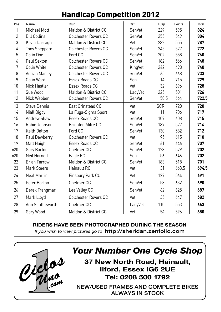### Handicap Competition 2012

| Pos.           | Name                 | Club                        | Cat     | H'Cap      | Points | Total |
|----------------|----------------------|-----------------------------|---------|------------|--------|-------|
| 1              | Michael Mott         | Maldon & District CC        | SenVet  | 229        | 595    | 824   |
| $\overline{2}$ | <b>Bill Collins</b>  | <b>Colchester Rovers CC</b> | SenVet  | 255        | 549    | 804   |
| 3              | Kevin Darragh        | Maldon & District CC        | Vet     | 232        | 555    | 787   |
| 4              | <b>Tony Sheppard</b> | <b>Colchester Rovers CC</b> | SenVet  | 245        | 527    | 772   |
| 5              | Colin Doe            | Ford CC                     | SenVet  | 202        | 558    | 760   |
| 6              | Paul Sexton          | <b>Colchester Rovers CC</b> | SenVet  | 182        | 566    | 748   |
| 7              | Colin White          | <b>Colchester Rovers CC</b> | KingVet | 242        | 498    | 740   |
| 8              | <b>Adrian Manley</b> | <b>Colchester Rovers CC</b> | SenVet  | 65         | 668    | 733   |
| 9              | Colin Ward           | Essex Roads CC              | Sen     | 14         | 715    | 729   |
| 10             | Nick Hastler         | Essex Roads CC              | Vet     | 32         | 696    | 728   |
| 11             | Sue Wood             | Maldon & District CC        | LadyVet | 225        | 501    | 726   |
| 12             | Nick Webber          | <b>Colchester Rovers CC</b> | SenVet  | 58.5       | 664    | 722.5 |
| 13             | <b>Steve Dennis</b>  | East Grinstead CC           | Vet     | <b>SCR</b> | 720    | 720   |
| 14             | Niall Digby          | La Fuga-Sigma Sport         | Vet     | 11         | 706    | 717   |
| 15             | Andrew Shaw          | Essex Roads CC              | SenVet  | 107        | 608    | 715   |
| 16             | Robin Johnson        | <b>Brighton Mitre CC</b>    | SupVet  | 187        | 527    | 714   |
| 17             | <b>Keith Dalton</b>  | Ford CC                     | SenVet  | 130        | 582    | 712   |
| 18             | Paul Dewberry        | <b>Colchester Rovers CC</b> | Vet     | 95         | 615    | 710   |
| 19             | Matt Haigh           | Essex Roads CC              | SenVet  | 61         | 646    | 707   |
| $= 20$         | Gary Barton          | Chelmer <sub>CC</sub>       | SenVet  | 123        | 579    | 702   |
| $= 20$         | Neil Hornett         | Eagle RC                    | Sen     | 56         | 646    | 702   |
| 22             | <b>Brian Farrow</b>  | Maldon & District CC        | SenVet  | 183        | 518    | 701   |
| 23             | <b>Mark Steers</b>   | Hainault RC                 | Vet     | 31         | 663.5  | 694.5 |
| 24             | Neal Marrin          | Finsbury Park CC            | Vet     | 127        | 564    | 691   |
| 25             | Peter Barton         | Chelmer <sub>CC</sub>       | SenVet  | 58         | 632    | 690   |
| 26             | Derek Trangmar       | Lea Valley CC               | SenVet  | 62         | 625    | 687   |
| 27             | Mark Lloyd           | <b>Colchester Rovers CC</b> | Vet     | 35         | 647    | 682   |
| 28             | Ann Shuttleworth     | Chelmer <sub>CC</sub>       | LadyVet | 110        | 553    | 663   |
| 29             | Gary Wood            | Maldon & District CC        | Vet     | 54         | 596    | 650   |
|                |                      |                             |         |            |        |       |

**RIDERS HAVE BEEN PHOTOGRAPHED DURING THE SEASON** *If you wish to view pictures go to* **http://sheridan.zenfolio.com**



### *Your Number One Cycle Shop*

**37 New North Road, Hainault, Ilford, Essex IG6 2UE Tel: 0208 500 1792**

**NEW/USED FRAMES AND COMPLETE BIKES ALWAYS IN STOCK**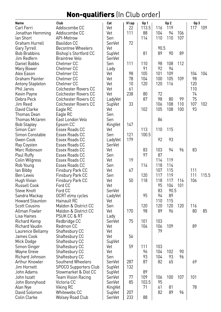### Non-qualifiers (In Club order)

| Name                    | Club                         | Cat     | H'cap | Gp 1  |      | Gp 2 |     | Gp 3 |       |
|-------------------------|------------------------------|---------|-------|-------|------|------|-----|------|-------|
| Carl Ferri              | Addiscombe CC                | Vet     | 22    | 113.5 | 116  | 119  |     | 117  | 109   |
| Jonathan Hemming        | Addiscombe CC                | Vet     | 111   | 88    | 104  | 94   | 106 |      |       |
| lan Short               | <b>API-Metrow</b>            | Sen     |       | 114   | 110  | 110  | 107 |      |       |
| Graham Hurrell          | Basildon CC                  | SenVet  | 72    |       |      |      |     |      |       |
| <b>Gary Tyrrell</b>     | <b>Becontree Wheelers</b>    | Vet     |       |       | 90.5 |      |     |      |       |
| <b>Bob Brabbins</b>     | Bishop's Stortford CC        | SupVet  |       | 81    | 89   | 90   | 89  |      |       |
| Jim Redfern             | <b>Braintree Velo</b>        | SenVet  |       |       |      |      |     |      |       |
| Daniel Babbs            | Chelmer CC                   | Sen     | 111   | 110   | 98   | 108  | 112 |      |       |
| Mary Bower              | Chelmer CC                   | Lady    |       | 91    | 92   | 94   |     |      |       |
| Alex Eason              | Chelmer <sub>CC</sub>        | Vet     | 98    | 105   | 101  | 109  |     | 104  | 104   |
| Graham Painter          | Chelmer CC                   | Vet     | 78    | 104   | 100  | 105  | 109 | 98   |       |
| <b>Antony Stapleton</b> | Chelmer CC                   | Vet     | 10    | 120   | 120  | 116  |     | 120  |       |
| Phil Jarvis             | <b>Colchester Rovers CC</b>  | Vet     | 61    |       |      |      |     | 110  |       |
| Kevin Payne             | <b>Colchester Rovers CC</b>  | Vet     | 238   | 80    | 72   |      |     | 74   |       |
| Debra Peck              | <b>Colchester Rovers CC</b>  | LadyVet |       | 87    | 98   | 80   | 99  | 75   |       |
| Jim Reed                | <b>Colchester Rovers CC</b>  | SupVet  | 33    |       | 106  | 108  | 110 | 107  | 102   |
| David Clarke            | Eagle RC                     | Vet     |       | 102   | 105  | 108  | 100 | 93   |       |
| Thomas Dean             | Eagle RC                     | Sen     |       |       |      |      |     |      |       |
| <b>Thomas Mclaren</b>   | East London Velo             | Sen     |       |       | 86   |      |     |      |       |
| <b>Bob Stapley</b>      | Epsom CC                     | KingVet | 147   |       |      |      |     |      |       |
| Simon Carr              | Essex Roads CC               | Vet     |       | 113   | 110  | 115  |     |      |       |
| Simon Constable         | Essex Roads CC               | Sen     | 121   | 100.5 |      |      |     |      |       |
| Gwen Cook               | Essex Roads CC               | LadyVet | 179   |       | 92   | 93   |     |      |       |
| Ray Coysten             | Essex Roads CC               | SenVet  |       |       |      |      |     |      |       |
| Marc Robinson           | Essex Roads CC               | Vet     |       | 83    | 103  | 94   | 96  | 83   |       |
| Paul Ruffy              | Essex Roads CC               | Sen     |       | 97    | 87   |      |     |      |       |
| Colin Wilgress          | Essex Roads CC               | Vet     | 19    |       | 114  | 119  |     |      |       |
| Rob Young               | Essex Roads CC               | Sen     |       | 114   | 118  | 114  |     |      |       |
| lan Bibby               | Finsbury Park CC             | Vet     | 67    |       | 107  | 115  |     | 111  |       |
| Ben Lewis               | Finsbury Park CC             | Sen     |       | 120   | 117  | 119  |     | 111  | 115.5 |
| Hugh Vivian             | Finsbury Park CC             | Vet     | 50    | 118   | 118  | 117  | 116 | 106  |       |
| <b>Russell Cook</b>     | Ford CC                      | Vet     |       |       | 95   | 104  | 101 |      |       |
| <b>Steve Knott</b>      | Ford CC                      | SenVet  |       |       | 83   | 90.5 |     |      |       |
| Sandra Mackay           | OCRT elmy cycles             | LadyVet |       | 95    | 94   | 89   |     |      |       |
| Howard Staunton         | Hainault RC                  | Vet     |       |       | 110  | 115  |     |      |       |
| <b>Scott Cousins</b>    | Maldon & District CC         | Sen     |       | 120   | 120  | 120  | 120 | 116  |       |
| Allman Fowler           | Maldon & District CC         | Vet     | 170   | 98    | 89   | 96   |     | 80   | 85    |
| Lisa Haines             | <b>PSUK CC &amp; RT</b>      | Lady    |       |       |      |      |     |      |       |
| Richard Kemp            | Redbridge CC                 | SenVet  | 75    | 101   | 103  |      |     |      |       |
| <b>Richard Vaudin</b>   | Redmon CC                    | Vet     |       | 104   | 106  | 109  |     | 89   |       |
| Laurence Bellamy        | Shaftesbury CC               | Vet     |       |       | 79   |      |     |      |       |
| James Cook              | Shaftesbury CC               | Vet     | 56    |       |      |      |     |      |       |
| Mick Dodge              | Shaftesbury CC               | SupVet  |       |       |      |      |     |      |       |
| Simon Ginger            | Shaftesbury CC               | Vet     | 59    | 111   | 103  |      |     |      |       |
| <b>Wayne Greve</b>      | Shaftesbury CC               | Vet     |       | 96    | 104  | 102  | 90  |      |       |
| Richard Johnson         | Shaftesbury CC               | Sen     |       | 93    | 104  | 93   | 96  |      |       |
| Arthur Knowler          | Southend Wheelers            | SenVet  | 287   | 87    | 82   | 65   |     | 69   |       |
| Jim Hornett             | <b>SPOCO Supporters Club</b> | SupVet  | 132   |       |      |      |     |      |       |
| John Adams              | Stowmarket & Dist CC         | SupVet  |       | 89    |      |      |     |      |       |
| John Iszatt             | <b>Team Vision Racing</b>    | SenVet  | 77    | 109   | 106  | 100  | 107 | 101  |       |
| John Bonnyhood          | Victoria CC                  | SenVet  | 85    | 103.5 | 95   |      |     |      |       |
| Alan Nye                | Viking RC                    | KingVet |       | 71    | 61   | 81   |     | 78   |       |
| David Solomon           | Whitewebs CC                 | SupVet  | 207   |       | 82   | 89   | 96  |      |       |
| Colin Clarke            | <b>Wolsey Road Club</b>      | SenVet  | 233   | 88    |      |      |     |      |       |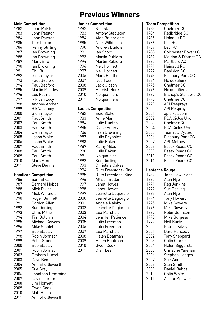### Previous Winners

| Main Competition |                                          |
|------------------|------------------------------------------|
| 1982             | John Patston                             |
| 1983             | John Patston                             |
| 1984             | John Patston                             |
| 1985             | Tom Luxford                              |
| 1986             | <b>Renny Stirling</b>                    |
| 1987             | lan Browning                             |
| 1988             | lan Browning                             |
| 1989             | Mark Bird                                |
| 1990             | lan Browning                             |
| 1991             | Phil Bull                                |
| 1992             | Glenn Taylor                             |
| 1993             | Paul Bedford                             |
| 1994             | Paul Bedford                             |
| 1995             | Martin Meades                            |
| 1996             | Les Palmer                               |
| 1997             | Rik Van Looy                             |
| 1998             | Andrew Archer                            |
| 1999             | Rik Van Looy                             |
| 2000             |                                          |
|                  | Glenn Taylor<br>Paul Smith               |
| 2001             | Paul Smith                               |
| 2002             |                                          |
| 2003             | Paul Smith                               |
| 2004             | Glenn Taylor                             |
| 2005             | Jason White                              |
| 2006             | Jason White                              |
| 2007             | Paul Smith                               |
| 2008             | Paul Smith                               |
| 2009             | Paul Smith                               |
| 2010             | Mark Arnold                              |
| 2011             | Steve Dennis                             |
|                  |                                          |
| 1986             | <b>Handicap Competition</b><br>Sam Shear |
| 1987             | <b>Bernard Hobbs</b>                     |
|                  |                                          |
| 1988             | Mick Divine                              |
| 1989             | Mick Whitnell                            |
| 1990             | Roger Bunnett                            |
| 1991             | Gordon Allen                             |
| 1992             | Sue Dorling                              |
| 1993             | Chris Milne                              |
| 1994             | <b>Tim Dolphin</b>                       |
| 1995             | <b>Michael Gowers</b>                    |
| 1996             | Mike Stapleton                           |
| 1997             | <b>Bob Stapley</b>                       |
| 1998             | Robin Johnson                            |
| 1999             | Peter Stone                              |
| 2000             | <b>Bob Stapley</b>                       |
| 2001             | Robin Johnson                            |
| 2002             | Graham Hurrell                           |
| 2003             | Dave Kendall                             |
| 2004             | Ann Shuttleworth                         |
| 2005             | Sue Gray                                 |
| 2006             | Jonathan Hemming                         |
| 2007             | David Ingram                             |
| 2008             | Jim Hornett                              |
| 2009             | <b>Gwen Cook</b>                         |
| 2010             |                                          |
| 2011             | Matt Haigh<br>Ann Shuttleworth           |

|      | Junior Competition        |
|------|---------------------------|
| 1982 | Rob Stahl                 |
| 1983 | <b>Antony Stapleton</b>   |
| 1984 | Alan Bainbridge           |
| 1985 | Nick Wilkinson            |
| 1990 | Andrew Buddle             |
| 1991 | lan Short                 |
| 1993 | Martin Rubiera            |
| 1994 | Martin Rubiera            |
| 1996 | Neil Hornett              |
| 1997 | Neil Hornett              |
| 2006 |                           |
|      | Mark Beattie              |
| 2007 | Rob Tyas                  |
| 2008 | Jack Gibson               |
| 2009 | Hamish Hore               |
| 2010 | No qualifiers             |
| 2011 | No qualifiers             |
|      | <b>Ladies Competition</b> |
| 1982 | Edie Blake                |
| 1983 | Anne Mann                 |
| 1984 | Julie Bunton              |
| 1985 | Diane Emery               |
| 1986 | Fran Browning             |
| 1987 | Julia Reynolds            |
| 1988 | Julie Baker               |
| 1989 | Kathy Miles               |
| 1990 | Julie Baker               |
| 1991 | No qualifier              |
| 1992 | Sue Dorling               |
| 1993 | <b>Christine Oakes</b>    |
| 1994 | Ruth Freestone-King       |
| 1995 | Ruth Freestone-King       |
|      |                           |
| 1996 | Allison Butler            |
| 1997 | Janet Howes               |
| 1998 | Janet Howes               |
| 1999 | Jeanette Degiorgio        |
| 2000 | Jeanette Degiorgio        |
| 2001 | Angela Nainby             |
| 2002 | Jeanette Degiorgio        |
| 2003 | Lea Marshall              |
| 2004 | Jennifer Patience         |
| 2005 | Julia Freeman             |
| 2006 | Julia Freeman             |
| 2007 | Lea Marshall              |
| 2008 | Helen Boatman             |
| 2009 | Helen Boatman             |
| 2010 | <b>Gwen Cook</b>          |
| 2011 | Clair Lee                 |
|      |                           |

| <b>Team Competition</b> |                         |
|-------------------------|-------------------------|
| 1983                    | Chelmer CC              |
| 1984                    | Redbridge CC            |
| 1985                    | Hainault RC             |
|                         |                         |
| 1986                    | Leo RC                  |
| 1987                    | Leo RC                  |
| 1988                    | Colchester Rovers CC    |
| 1989                    | Maldon & District CC    |
| 1990                    | Marlboro AC             |
| 1991                    | Hainault RC             |
| 1992                    | Basildon CC             |
| 1993                    | <b>Finsbury Park CC</b> |
| 1994                    | No qualifiers           |
|                         |                         |
| 1995                    | Chelmer CC              |
| 1996                    | No qualifiers           |
| 1997                    | Bishop's Stortford CC   |
| 1998                    | Chelmer CC              |
| 1999                    | <b>API Resprays</b>     |
| 2000                    | API Resprays            |
| 2001                    | apibikes.com            |
| 2002                    | PCA Ciclos Uno          |
| 2003                    | Chelmer CC              |
| 2004                    | PCA Ciclos Uno          |
|                         |                         |
| 2005                    | Team JD Cycles          |
| 2006                    | Finsbury Park CC        |
| 2007                    | <b>API-Metrow</b>       |
| 2008                    | Essex Roads CC          |
| 2009                    | Essex Roads CC          |
| 2010                    | Essex Roads CC          |
| 2011                    | Essex Roads CC          |
|                         |                         |
| Lanterne Rouge          |                         |
| 1989                    | John Hawkridge          |
| 1990                    | Alan Nye                |
| 1991                    | Reg Jenkins             |
| 1992                    | Sue Dorling             |
| 1993                    | Alan Nye                |
| 1994                    | <b>Tony Howard</b>      |
| 1995                    | <b>Mike Gowers</b>      |
| 1996                    | Mike Gowers             |
| 1997                    | Robin Johnson           |
|                         |                         |
| 1998                    | Mike Burgess            |
| 1999                    | Neil Kurtz              |
| 2000                    | Patrica Silvey          |
| 2001                    | Dave Hancock            |
| 2002                    | <b>Tony Sheppard</b>    |
| 2003                    | Colin Clarke            |
| 2004                    | Helen Biggerstaff       |
| 2005                    | Christine Yareham       |
| 2006                    | Stephen Hodges          |
| 2007                    | Sue Wood                |
|                         |                         |
| 2008                    | Stan Smith              |
| 2009                    | Daniel Babbs            |
| 2010                    | Colin White             |
| 2011                    | Arthur Knowler          |